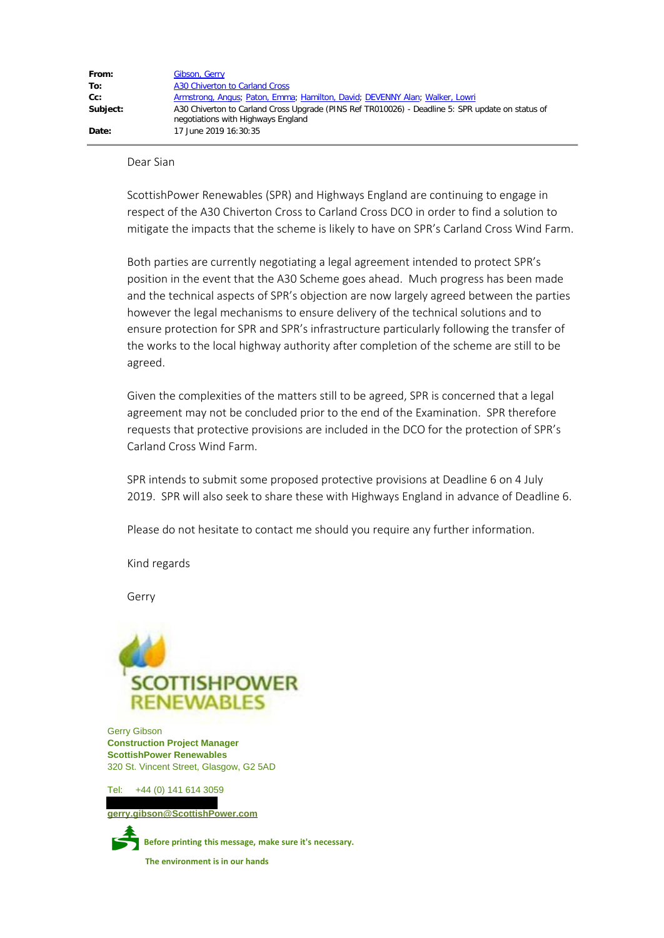Dear Sian

ScottishPower Renewables (SPR) and Highways England are continuing to engage in respect of the A30 Chiverton Cross to Carland Cross DCO in order to find a solution to mitigate the impacts that the scheme is likely to have on SPR's Carland Cross Wind Farm.

Both parties are currently negotiating a legal agreement intended to protect SPR's position in the event that the A30 Scheme goes ahead. Much progress has been made and the technical aspects of SPR's objection are now largely agreed between the parties however the legal mechanisms to ensure delivery of the technical solutions and to ensure protection for SPR and SPR's infrastructure particularly following the transfer of the works to the local highway authority after completion of the scheme are still to be agreed.

Given the complexities of the matters still to be agreed, SPR is concerned that a legal agreement may not be concluded prior to the end of the Examination. SPR therefore requests that protective provisions are included in the DCO for the protection of SPR's Carland Cross Wind Farm.

SPR intends to submit some proposed protective provisions at Deadline 6 on 4 July 2019. SPR will also seek to share these with Highways England in advance of Deadline 6.

Please do not hesitate to contact me should you require any further information.

Kind regards

Gerry



 Gerry Gibson  **Construction Project Manager ScottishPower Renewables** 320 St. Vincent Street, Glasgow, G2 5AD

Tel: +44 (0) 141 614 3059

 **[gerry.gibson@ScottishPower.com](mailto:namesurname@ScottishPower.com)**



P **Before printing this message, make sure it's necessary.**

 **The environment is in our hands**